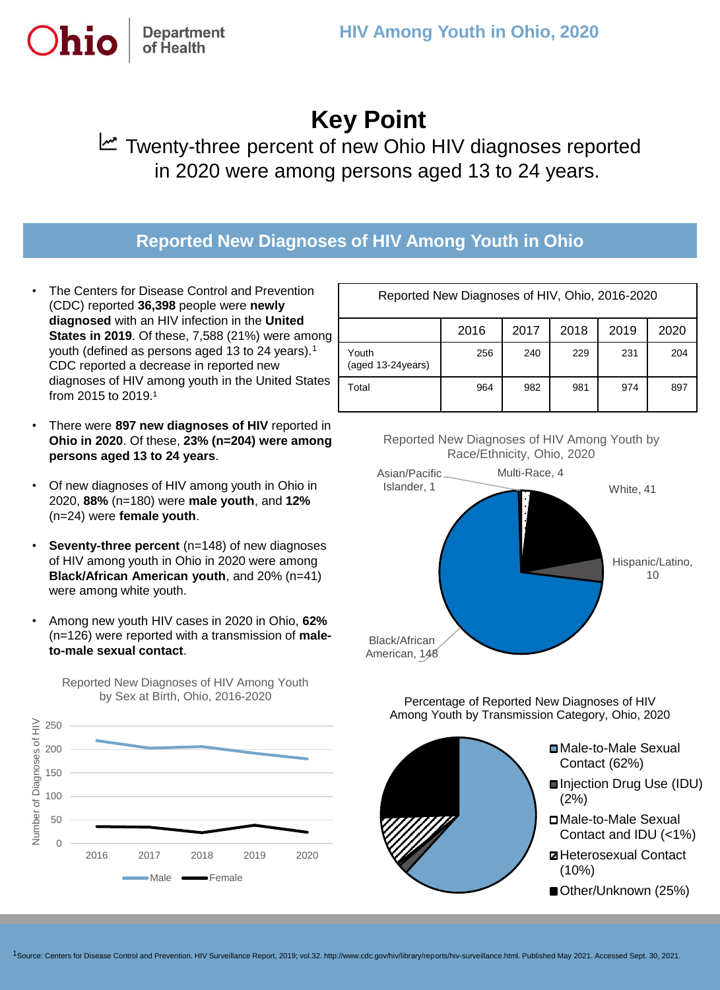# **Key Point**

**™** Twenty-three percent of new Ohio HIV diagnoses reported in 2020 were among persons aged 13 to 24 years.

### **Reported New Diagnoses of HIV Among Youth in Ohio**

The Centers for Disease Control and Prevention (CDC) reported **36,398** people were **newly diagnosed** with an HIV infection in the **United States in 2019**. Of these, 7,588 (21%) were among youth (defined as persons aged 13 to 24 years).<sup>1</sup> CDC reported a decrease in reported new diagnoses of HIV among youth in the United States from 2015 to 2019.<sup>1</sup>

**Department** of Health

- There were **897 new diagnoses of HIV** reported in **Ohio in 2020**. Of these, **23% (n=204) were among persons aged 13 to 24 years**.
- Of new diagnoses of HIV among youth in Ohio in 2020, **88%** (n=180) were **male youth**, and **12%** (n=24) were **female youth**.
- **Seventy-three percent** (n=148) of new diagnoses of HIV among youth in Ohio in 2020 were among **Black/African American youth**, and 20% (n=41) were among white youth.
- Among new youth HIV cases in 2020 in Ohio, **62%**  (n=126) were reported with a transmission of **maleto-male sexual contact**.

Reported New Diagnoses of HIV Among Youth



| Reported New Diagnoses of HIV, Ohio, 2016-2020 |      |      |      |      |      |
|------------------------------------------------|------|------|------|------|------|
|                                                | 2016 | 2017 | 2018 | 2019 | 2020 |
| Youth<br>(aged 13-24 years)                    | 256  | 240  | 229  | 231  | 204  |
| Total                                          | 964  | 982  | 981  | 974  | 897  |

Reported New Diagnoses of HIV Among Youth by Race/Ethnicity, Ohio, 2020



Percentage of Reported New Diagnoses of HIV Among Youth by Transmission Category, Ohio, 2020



1Source: Centers for Disease Control and Prevention. HIV Surveillance Report, 2019; vol.32. http://www.cdc.gov/hiv/library/reports/hiv-surveillance.html. Published May 2021. Accessed Sept. 30, 2021.